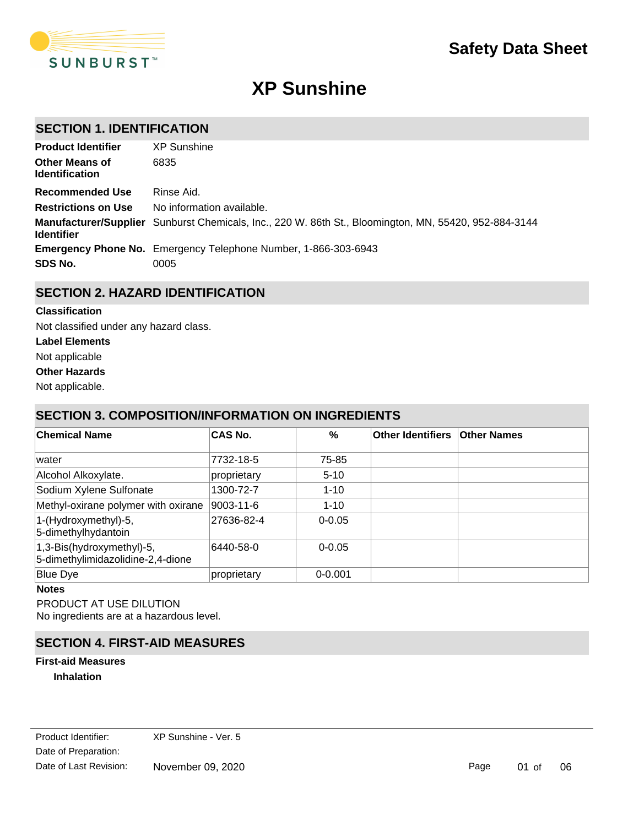

# **XP Sunshine**

# **SECTION 1. IDENTIFICATION**

| <b>Product Identifier</b>                      | <b>XP</b> Sunshine                                                                                    |
|------------------------------------------------|-------------------------------------------------------------------------------------------------------|
| <b>Other Means of</b><br><b>Identification</b> | 6835                                                                                                  |
| <b>Recommended Use</b>                         | Rinse Aid.                                                                                            |
| <b>Restrictions on Use</b>                     | No information available.                                                                             |
| <b>Identifier</b>                              | Manufacturer/Supplier Sunburst Chemicals, Inc., 220 W. 86th St., Bloomington, MN, 55420, 952-884-3144 |
|                                                | <b>Emergency Phone No.</b> Emergency Telephone Number, 1-866-303-6943                                 |
| SDS No.                                        | 0005                                                                                                  |

# **SECTION 2. HAZARD IDENTIFICATION**

#### **Classification**

Not classified under any hazard class.

- **Label Elements**
- Not applicable

**Other Hazards**

Not applicable.

# **SECTION 3. COMPOSITION/INFORMATION ON INGREDIENTS**

| <b>Chemical Name</b>                                           | <b>CAS No.</b> | %           | <b>Other Identifiers</b> | <b>Other Names</b> |
|----------------------------------------------------------------|----------------|-------------|--------------------------|--------------------|
| lwater                                                         | 7732-18-5      | 75-85       |                          |                    |
| Alcohol Alkoxylate.                                            | proprietary    | $5-10$      |                          |                    |
| Sodium Xylene Sulfonate                                        | 1300-72-7      | $1 - 10$    |                          |                    |
| Methyl-oxirane polymer with oxirane                            | 9003-11-6      | $1 - 10$    |                          |                    |
| 1-(Hydroxymethyl)-5,<br>5-dimethylhydantoin                    | 27636-82-4     | $0 - 0.05$  |                          |                    |
| 1,3-Bis(hydroxymethyl)-5,<br>5-dimethylimidazolidine-2,4-dione | 6440-58-0      | $0 - 0.05$  |                          |                    |
| <b>Blue Dye</b>                                                | proprietary    | $0 - 0.001$ |                          |                    |

#### **Notes**

PRODUCT AT USE DILUTION No ingredients are at a hazardous level.

## **SECTION 4. FIRST-AID MEASURES**

### **Inhalation First-aid Measures**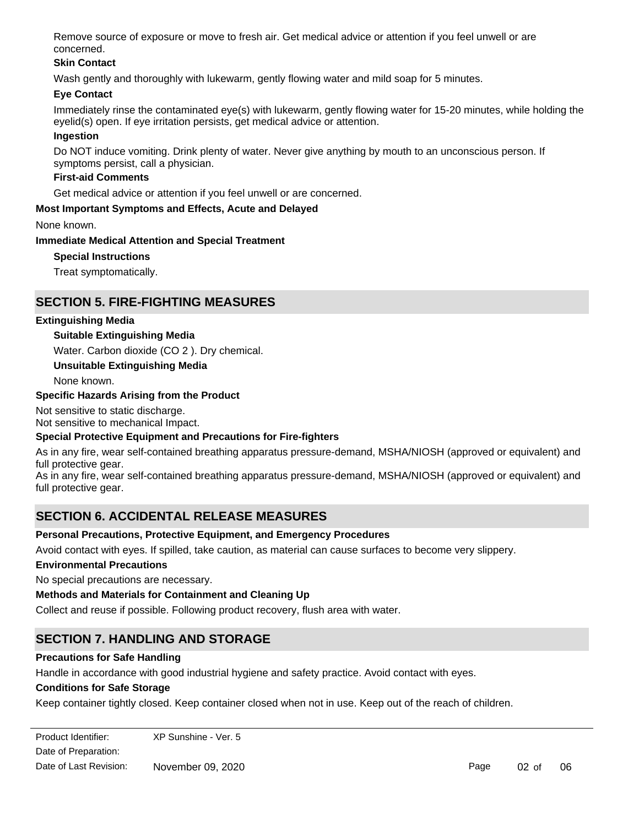Remove source of exposure or move to fresh air. Get medical advice or attention if you feel unwell or are concerned.

### **Skin Contact**

Wash gently and thoroughly with lukewarm, gently flowing water and mild soap for 5 minutes.

### **Eye Contact**

Immediately rinse the contaminated eye(s) with lukewarm, gently flowing water for 15-20 minutes, while holding the eyelid(s) open. If eye irritation persists, get medical advice or attention.

#### **Ingestion**

Do NOT induce vomiting. Drink plenty of water. Never give anything by mouth to an unconscious person. If symptoms persist, call a physician.

#### **First-aid Comments**

Get medical advice or attention if you feel unwell or are concerned.

#### **Most Important Symptoms and Effects, Acute and Delayed**

None known.

#### **Immediate Medical Attention and Special Treatment**

**Special Instructions**

Treat symptomatically.

## **SECTION 5. FIRE-FIGHTING MEASURES**

#### **Extinguishing Media**

#### **Suitable Extinguishing Media**

Water. Carbon dioxide (CO 2 ). Dry chemical.

#### **Unsuitable Extinguishing Media**

None known.

#### **Specific Hazards Arising from the Product**

Not sensitive to static discharge. Not sensitive to mechanical Impact.

#### **Special Protective Equipment and Precautions for Fire-fighters**

As in any fire, wear self-contained breathing apparatus pressure-demand, MSHA/NIOSH (approved or equivalent) and full protective gear.

As in any fire, wear self-contained breathing apparatus pressure-demand, MSHA/NIOSH (approved or equivalent) and full protective gear.

# **SECTION 6. ACCIDENTAL RELEASE MEASURES**

#### **Personal Precautions, Protective Equipment, and Emergency Procedures**

Avoid contact with eyes. If spilled, take caution, as material can cause surfaces to become very slippery.

#### **Environmental Precautions**

No special precautions are necessary.

#### **Methods and Materials for Containment and Cleaning Up**

Collect and reuse if possible. Following product recovery, flush area with water.

# **SECTION 7. HANDLING AND STORAGE**

#### **Precautions for Safe Handling**

Handle in accordance with good industrial hygiene and safety practice. Avoid contact with eyes.

#### **Conditions for Safe Storage**

Keep container tightly closed. Keep container closed when not in use. Keep out of the reach of children.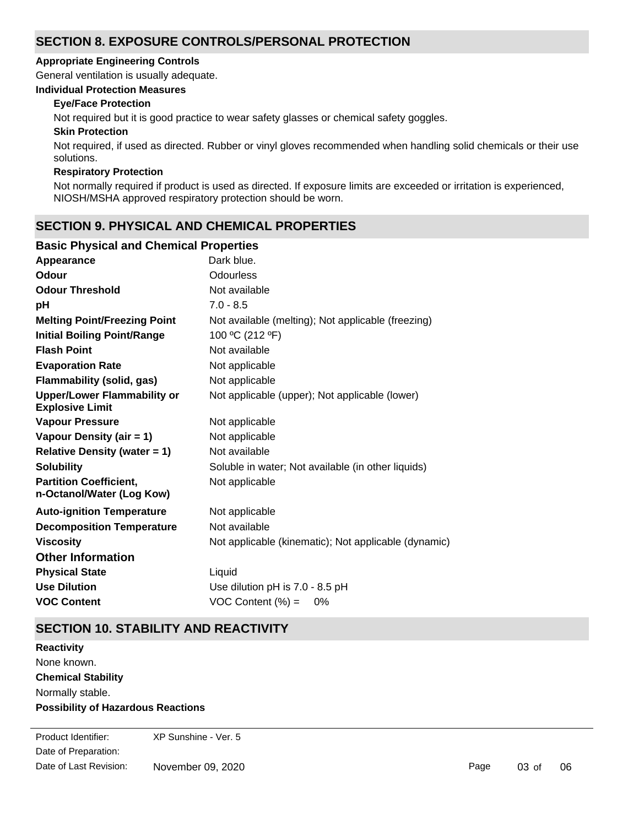# **SECTION 8. EXPOSURE CONTROLS/PERSONAL PROTECTION**

#### **Appropriate Engineering Controls**

General ventilation is usually adequate.

#### **Individual Protection Measures**

### **Eye/Face Protection**

Not required but it is good practice to wear safety glasses or chemical safety goggles.

#### **Skin Protection**

Not required, if used as directed. Rubber or vinyl gloves recommended when handling solid chemicals or their use solutions.

#### **Respiratory Protection**

Not normally required if product is used as directed. If exposure limits are exceeded or irritation is experienced, NIOSH/MSHA approved respiratory protection should be worn.

# **SECTION 9. PHYSICAL AND CHEMICAL PROPERTIES**

#### **Basic Physical and Chemical Properties**

| Appearance                                                   | Dark blue.                                           |
|--------------------------------------------------------------|------------------------------------------------------|
| Odour                                                        | Odourless                                            |
| <b>Odour Threshold</b>                                       | Not available                                        |
| рH                                                           | $7.0 - 8.5$                                          |
| <b>Melting Point/Freezing Point</b>                          | Not available (melting); Not applicable (freezing)   |
| <b>Initial Boiling Point/Range</b>                           | 100 °C (212 °F)                                      |
| <b>Flash Point</b>                                           | Not available                                        |
| <b>Evaporation Rate</b>                                      | Not applicable                                       |
| <b>Flammability (solid, gas)</b>                             | Not applicable                                       |
| <b>Upper/Lower Flammability or</b><br><b>Explosive Limit</b> | Not applicable (upper); Not applicable (lower)       |
| <b>Vapour Pressure</b>                                       | Not applicable                                       |
| Vapour Density (air = 1)                                     | Not applicable                                       |
| Relative Density (water $= 1$ )                              | Not available                                        |
| <b>Solubility</b>                                            | Soluble in water; Not available (in other liquids)   |
| <b>Partition Coefficient,</b><br>n-Octanol/Water (Log Kow)   | Not applicable                                       |
| <b>Auto-ignition Temperature</b>                             | Not applicable                                       |
| <b>Decomposition Temperature</b>                             | Not available                                        |
| <b>Viscosity</b>                                             | Not applicable (kinematic); Not applicable (dynamic) |
| <b>Other Information</b>                                     |                                                      |
| <b>Physical State</b>                                        | Liquid                                               |
| <b>Use Dilution</b>                                          | Use dilution pH is 7.0 - 8.5 pH                      |
| <b>VOC Content</b>                                           | $VOC$ Content $(\%) =$<br>0%                         |

# **SECTION 10. STABILITY AND REACTIVITY**

**Chemical Stability** Normally stable. **Possibility of Hazardous Reactions Reactivity** None known.

Date of Preparation: Product Identifier: XP Sunshine - Ver. 5 Date of Last Revision: November 09, 2020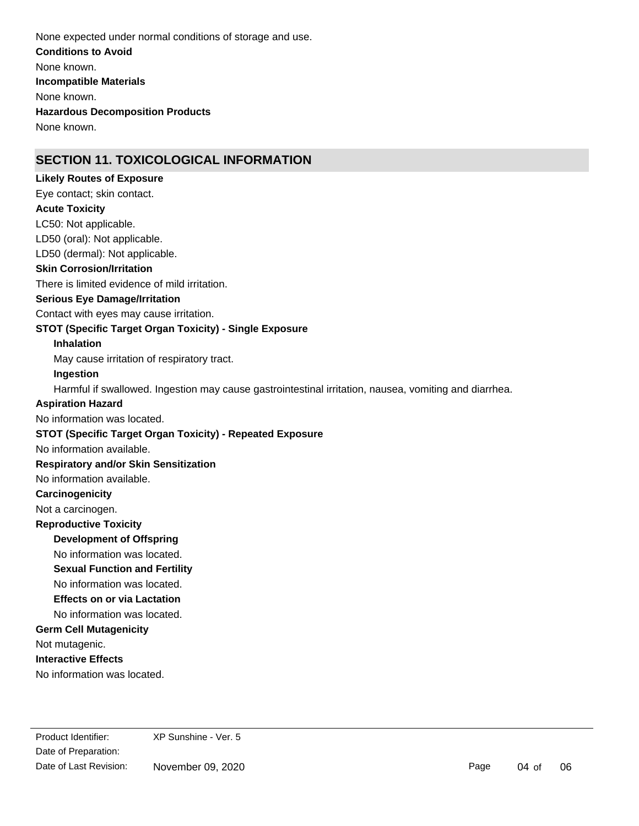**Conditions to Avoid** None known. **Incompatible Materials** None known. **Hazardous Decomposition Products** None known. None expected under normal conditions of storage and use.

# **SECTION 11. TOXICOLOGICAL INFORMATION**

# LC50: Not applicable. LD50 (oral): Not applicable. **Skin Corrosion/Irritation** There is limited evidence of mild irritation. **Serious Eye Damage/Irritation** Contact with eyes may cause irritation. **STOT (Specific Target Organ Toxicity) - Single Exposure Inhalation** May cause irritation of respiratory tract. **Ingestion** Harmful if swallowed. Ingestion may cause gastrointestinal irritation, nausea, vomiting and diarrhea. No information available. **STOT (Specific Target Organ Toxicity) - Repeated Exposure Respiratory and/or Skin Sensitization** No information available. **Carcinogenicity** Not a carcinogen. **Development of Offspring** No information was located. **Reproductive Toxicity** No information was located. **Germ Cell Mutagenicity** Not mutagenic. **Interactive Effects** No information was located. LD50 (dermal): Not applicable. **Acute Toxicity Sexual Function and Fertility Effects on or via Lactation** No information was located. No information was located. **Aspiration Hazard** Eye contact; skin contact. **Likely Routes of Exposure**

Date of Preparation: Product Identifier: XP Sunshine - Ver. 5 Date of Last Revision: November 09, 2020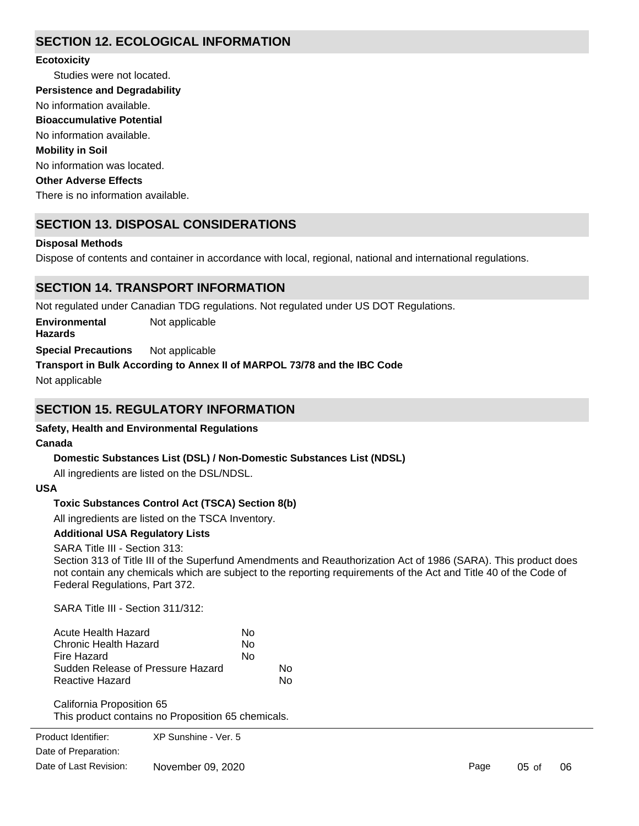# **SECTION 12. ECOLOGICAL INFORMATION**

#### **Ecotoxicity**

Studies were not located. No information available. No information was located. There is no information available. No information available. **Persistence and Degradability Mobility in Soil Other Adverse Effects Bioaccumulative Potential**

# **SECTION 13. DISPOSAL CONSIDERATIONS**

### **Disposal Methods**

Dispose of contents and container in accordance with local, regional, national and international regulations.

# **SECTION 14. TRANSPORT INFORMATION**

Not regulated under Canadian TDG regulations. Not regulated under US DOT Regulations.

**Environmental** Not applicable

**Hazards**

**Special Precautions** Not applicable

**Transport in Bulk According to Annex II of MARPOL 73/78 and the IBC Code**

Not applicable

# **SECTION 15. REGULATORY INFORMATION**

## **Safety, Health and Environmental Regulations**

## **Canada**

## **Domestic Substances List (DSL) / Non-Domestic Substances List (NDSL)**

All ingredients are listed on the DSL/NDSL.

#### **USA**

## **Toxic Substances Control Act (TSCA) Section 8(b)**

All ingredients are listed on the TSCA Inventory.

## **Additional USA Regulatory Lists**

SARA Title III - Section 313:

Section 313 of Title III of the Superfund Amendments and Reauthorization Act of 1986 (SARA). This product does not contain any chemicals which are subject to the reporting requirements of the Act and Title 40 of the Code of Federal Regulations, Part 372.

SARA Title III - Section 311/312:

| Acute Health Hazard               | N٥ |    |
|-----------------------------------|----|----|
| Chronic Health Hazard             | No |    |
| Fire Hazard                       | N٥ |    |
| Sudden Release of Pressure Hazard |    | N٥ |
| Reactive Hazard                   |    | N٥ |

California Proposition 65 This product contains no Proposition 65 chemicals.

Product Identifier: Date of Preparation: Number 30, 2008 XP Sunshine - Ver. 5 Date of Last Revision: November 09, 2020